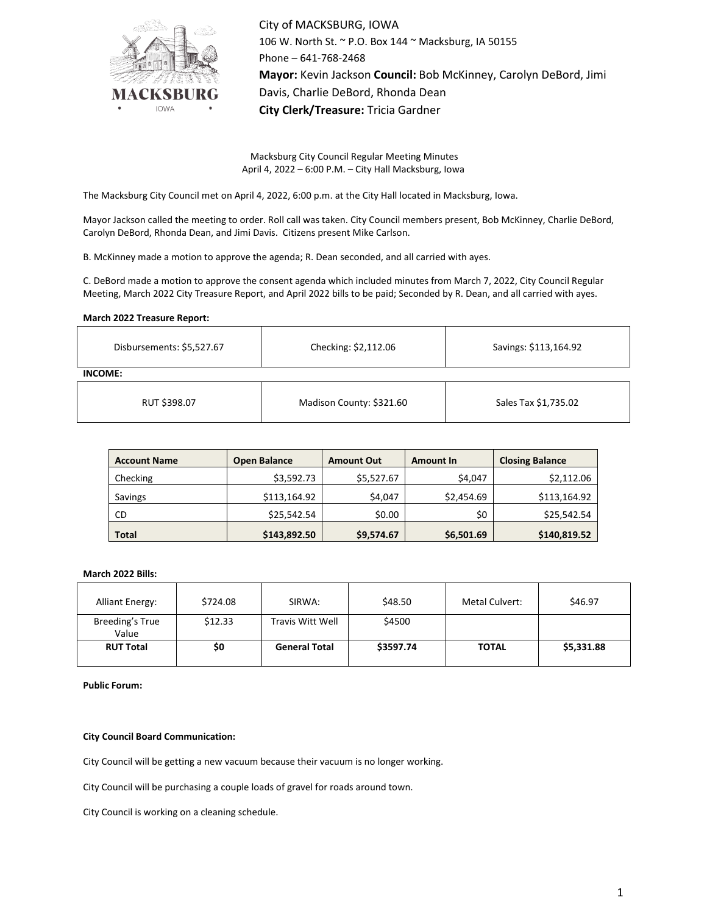

City of MACKSBURG, IOWA 106 W. North St. ~ P.O. Box 144 ~ Macksburg, IA 50155 Phone – 641-768-2468 **Mayor:** Kevin Jackson **Council:** Bob McKinney, Carolyn DeBord, Jimi Davis, Charlie DeBord, Rhonda Dean **City Clerk/Treasure:** Tricia Gardner

Macksburg City Council Regular Meeting Minutes April 4, 2022 – 6:00 P.M. – City Hall Macksburg, Iowa

The Macksburg City Council met on April 4, 2022, 6:00 p.m. at the City Hall located in Macksburg, Iowa.

Mayor Jackson called the meeting to order. Roll call was taken. City Council members present, Bob McKinney, Charlie DeBord, Carolyn DeBord, Rhonda Dean, and Jimi Davis. Citizens present Mike Carlson.

B. McKinney made a motion to approve the agenda; R. Dean seconded, and all carried with ayes.

C. DeBord made a motion to approve the consent agenda which included minutes from March 7, 2022, City Council Regular Meeting, March 2022 City Treasure Report, and April 2022 bills to be paid; Seconded by R. Dean, and all carried with ayes.

### **March 2022 Treasure Report:**

| Disbursements: \$5,527.67 | Checking: \$2,112.06     | Savings: \$113,164.92 |  |  |  |  |  |  |
|---------------------------|--------------------------|-----------------------|--|--|--|--|--|--|
| INCOME:                   |                          |                       |  |  |  |  |  |  |
| RUT \$398.07              | Madison County: \$321.60 | Sales Tax \$1,735.02  |  |  |  |  |  |  |

| <b>Account Name</b> | <b>Open Balance</b> | <b>Amount Out</b> | <b>Amount In</b> | <b>Closing Balance</b> |
|---------------------|---------------------|-------------------|------------------|------------------------|
| Checking            | \$3,592.73          | \$5,527.67        | \$4,047          | \$2,112.06             |
| Savings             | \$113,164.92        | \$4,047           | \$2,454.69       | \$113,164.92           |
| CD                  | \$25,542.54         | \$0.00            | \$0              | \$25,542.54            |
| <b>Total</b>        | \$143,892.50        | \$9,574.67        | \$6,501.69       | \$140,819.52           |

#### **March 2022 Bills:**

| <b>Alliant Energy:</b>   | \$724.08 | SIRWA:               | \$48.50   | Metal Culvert: | \$46.97    |
|--------------------------|----------|----------------------|-----------|----------------|------------|
| Breeding's True<br>Value | \$12.33  | Travis Witt Well     | \$4500    |                |            |
| <b>RUT Total</b>         | \$0      | <b>General Total</b> | \$3597.74 | <b>TOTAL</b>   | \$5,331.88 |

**Public Forum:**

# **City Council Board Communication:**

City Council will be getting a new vacuum because their vacuum is no longer working.

City Council will be purchasing a couple loads of gravel for roads around town.

City Council is working on a cleaning schedule.